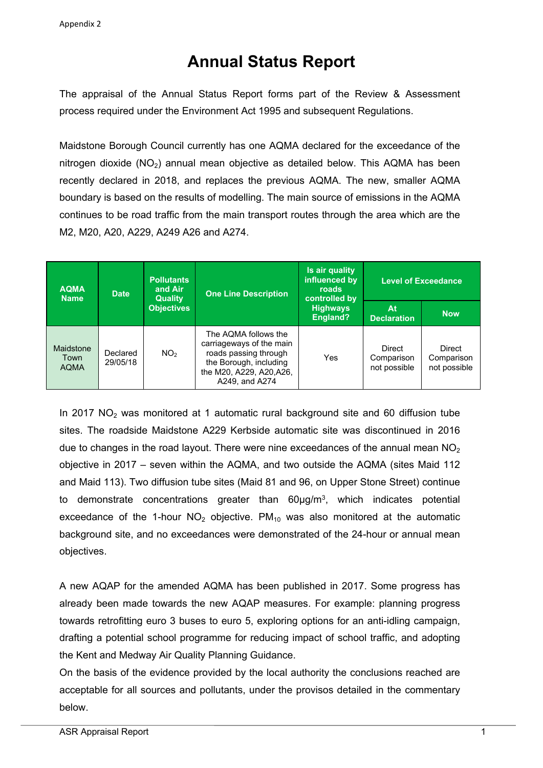## **Annual Status Report**

The appraisal of the Annual Status Report forms part of the Review & Assessment process required under the Environment Act 1995 and subsequent Regulations.

Maidstone Borough Council currently has one AQMA declared for the exceedance of the nitrogen dioxide  $(NO<sub>2</sub>)$  annual mean objective as detailed below. This AQMA has been recently declared in 2018, and replaces the previous AQMA. The new, smaller AQMA boundary is based on the results of modelling. The main source of emissions in the AQMA continues to be road traffic from the main transport routes through the area which are the M2, M20, A20, A229, A249 A26 and A274.

| <b>AQMA</b><br><b>Name</b>              | <b>Date</b>          | <b>Pollutants</b><br>and Air<br><b>Quality</b><br><b>Objectives</b> | <b>One Line Description</b>                                                                                                                       | Is air quality<br>influenced by<br>roads<br>controlled by<br><b>Highways</b><br><b>England?</b> | <b>Level of Exceedance</b>           |                                             |
|-----------------------------------------|----------------------|---------------------------------------------------------------------|---------------------------------------------------------------------------------------------------------------------------------------------------|-------------------------------------------------------------------------------------------------|--------------------------------------|---------------------------------------------|
|                                         |                      |                                                                     |                                                                                                                                                   |                                                                                                 | Atl<br><b>Declaration</b>            | <b>Now</b>                                  |
| <b>Maidstone</b><br>Town<br><b>AQMA</b> | Declared<br>29/05/18 | NO <sub>2</sub>                                                     | The AQMA follows the<br>carriageways of the main<br>roads passing through<br>the Borough, including<br>the M20, A229, A20, A26,<br>A249, and A274 | Yes                                                                                             | Direct<br>Comparison<br>not possible | <b>Direct</b><br>Comparison<br>not possible |

In 2017  $NO<sub>2</sub>$  was monitored at 1 automatic rural background site and 60 diffusion tube sites. The roadside Maidstone A229 Kerbside automatic site was discontinued in 2016 due to changes in the road layout. There were nine exceedances of the annual mean  $NO<sub>2</sub>$ objective in 2017 – seven within the AQMA, and two outside the AQMA (sites Maid 112 and Maid 113). Two diffusion tube sites (Maid 81 and 96, on Upper Stone Street) continue to demonstrate concentrations greater than 60µg/m<sup>3</sup>, which indicates potential exceedance of the 1-hour  $NO<sub>2</sub>$  objective. PM<sub>10</sub> was also monitored at the automatic background site, and no exceedances were demonstrated of the 24-hour or annual mean objectives.

A new AQAP for the amended AQMA has been published in 2017. Some progress has already been made towards the new AQAP measures. For example: planning progress towards retrofitting euro 3 buses to euro 5, exploring options for an anti-idling campaign, drafting a potential school programme for reducing impact of school traffic, and adopting the Kent and Medway Air Quality Planning Guidance.

On the basis of the evidence provided by the local authority the conclusions reached are acceptable for all sources and pollutants, under the provisos detailed in the commentary below.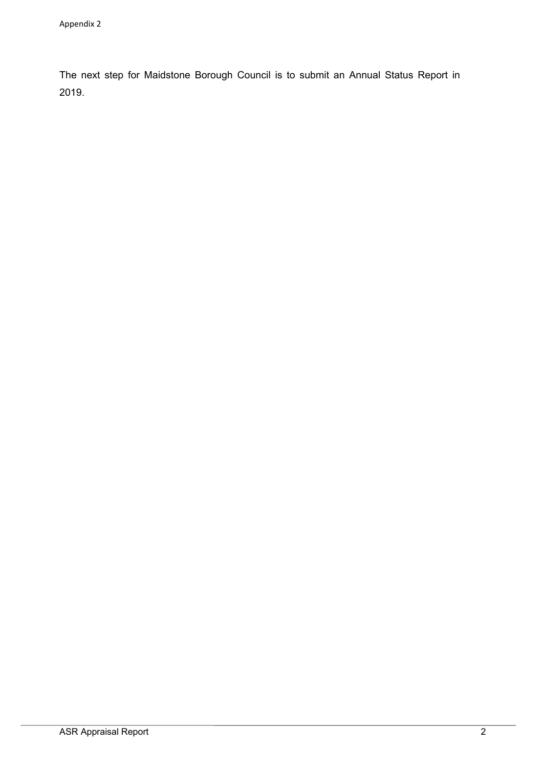The next step for Maidstone Borough Council is to submit an Annual Status Report in 2019.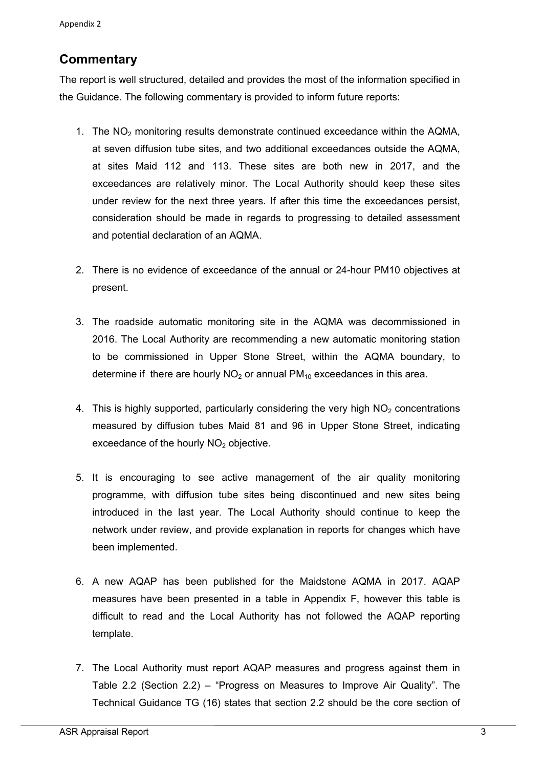## **Commentary**

The report is well structured, detailed and provides the most of the information specified in the Guidance. The following commentary is provided to inform future reports:

- 1. The  $NO<sub>2</sub>$  monitoring results demonstrate continued exceedance within the AQMA, at seven diffusion tube sites, and two additional exceedances outside the AQMA, at sites Maid 112 and 113. These sites are both new in 2017, and the exceedances are relatively minor. The Local Authority should keep these sites under review for the next three years. If after this time the exceedances persist, consideration should be made in regards to progressing to detailed assessment and potential declaration of an AQMA.
- 2. There is no evidence of exceedance of the annual or 24-hour PM10 objectives at present.
- 3. The roadside automatic monitoring site in the AQMA was decommissioned in 2016. The Local Authority are recommending a new automatic monitoring station to be commissioned in Upper Stone Street, within the AQMA boundary, to determine if there are hourly  $NO<sub>2</sub>$  or annual  $PM<sub>10</sub>$  exceedances in this area.
- 4. This is highly supported, particularly considering the very high  $NO<sub>2</sub>$  concentrations measured by diffusion tubes Maid 81 and 96 in Upper Stone Street, indicating exceedance of the hourly  $NO<sub>2</sub>$  objective.
- 5. It is encouraging to see active management of the air quality monitoring programme, with diffusion tube sites being discontinued and new sites being introduced in the last year. The Local Authority should continue to keep the network under review, and provide explanation in reports for changes which have been implemented.
- 6. A new AQAP has been published for the Maidstone AQMA in 2017. AQAP measures have been presented in a table in Appendix F, however this table is difficult to read and the Local Authority has not followed the AQAP reporting template.
- 7. The Local Authority must report AQAP measures and progress against them in Table 2.2 (Section 2.2) – "Progress on Measures to Improve Air Quality". The Technical Guidance TG (16) states that section 2.2 should be the core section of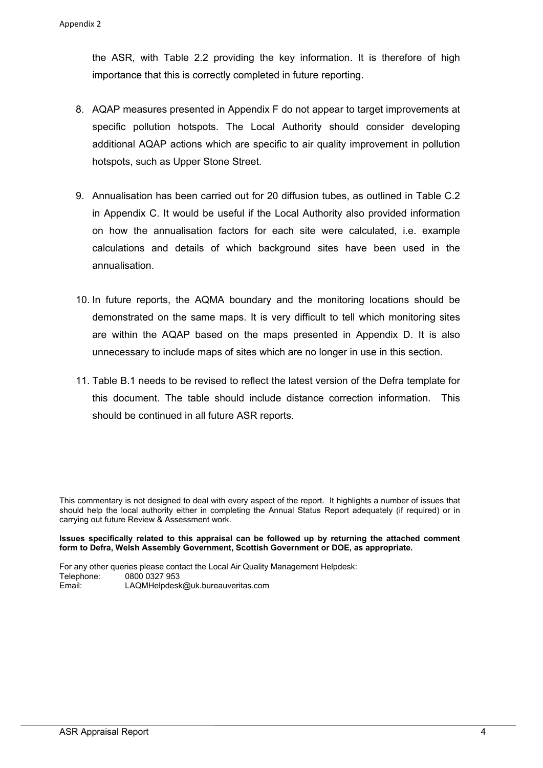the ASR, with Table 2.2 providing the key information. It is therefore of high importance that this is correctly completed in future reporting.

- 8. AQAP measures presented in Appendix F do not appear to target improvements at specific pollution hotspots. The Local Authority should consider developing additional AQAP actions which are specific to air quality improvement in pollution hotspots, such as Upper Stone Street.
- 9. Annualisation has been carried out for 20 diffusion tubes, as outlined in Table C.2 in Appendix C. It would be useful if the Local Authority also provided information on how the annualisation factors for each site were calculated, i.e. example calculations and details of which background sites have been used in the annualisation.
- 10. In future reports, the AQMA boundary and the monitoring locations should be demonstrated on the same maps. It is very difficult to tell which monitoring sites are within the AQAP based on the maps presented in Appendix D. It is also unnecessary to include maps of sites which are no longer in use in this section.
- 11. Table B.1 needs to be revised to reflect the latest version of the Defra template for this document. The table should include distance correction information. This should be continued in all future ASR reports.

This commentary is not designed to deal with every aspect of the report. It highlights a number of issues that should help the local authority either in completing the Annual Status Report adequately (if required) or in carrying out future Review & Assessment work.

#### **Issues specifically related to this appraisal can be followed up by returning the attached comment form to Defra, Welsh Assembly Government, Scottish Government or DOE, as appropriate.**

For any other queries please contact the Local Air Quality Management Helpdesk: Telephone: 0800 0327 953 Email: LAQMHelpdesk@uk.bureauveritas.com